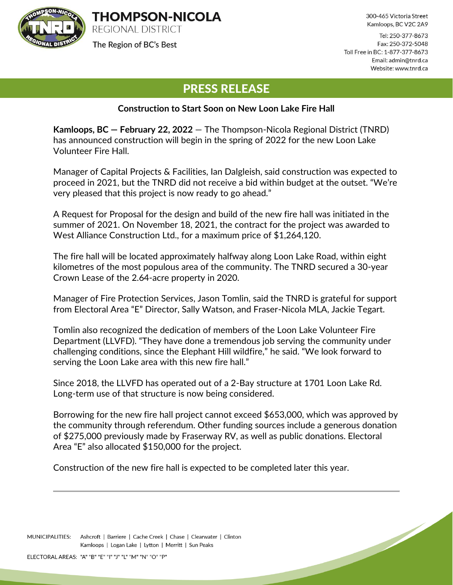

The Region of BC's Best

300-465 Victoria Street Kamloops, BC V2C 2A9

Tel: 250-377-8673 Fax: 250-372-5048 Toll Free in BC: 1-877-377-8673 Email: admin@tnrd.ca Website: www.tnrd.ca

## PRESS RELEASE

## **Construction to Start Soon on New Loon Lake Fire Hall**

**Kamloops, BC — February 22, 2022** — The Thompson-Nicola Regional District (TNRD) has announced construction will begin in the spring of 2022 for the new Loon Lake Volunteer Fire Hall.

Manager of Capital Projects & Facilities, Ian Dalgleish, said construction was expected to proceed in 2021, but the TNRD did not receive a bid within budget at the outset. "We're very pleased that this project is now ready to go ahead."

A Request for Proposal for the design and build of the new fire hall was initiated in the summer of 2021. On November 18, 2021, the contract for the project was awarded to West Alliance Construction Ltd., for a maximum price of \$1,264,120.

The fire hall will be located approximately halfway along Loon Lake Road, within eight kilometres of the most populous area of the community. The TNRD secured a 30-year Crown Lease of the 2.64-acre property in 2020.

Manager of Fire Protection Services, Jason Tomlin, said the TNRD is grateful for support from Electoral Area "E" Director, Sally Watson, and Fraser-Nicola MLA, Jackie Tegart.

Tomlin also recognized the dedication of members of the Loon Lake Volunteer Fire Department (LLVFD). "They have done a tremendous job serving the community under challenging conditions, since the Elephant Hill wildfire," he said. "We look forward to serving the Loon Lake area with this new fire hall."

Since 2018, the LLVFD has operated out of a 2-Bay structure at 1701 Loon Lake Rd. Long-term use of that structure is now being considered.

Borrowing for the new fire hall project cannot exceed \$653,000, which was approved by the community through referendum. Other funding sources include a generous donation of \$275,000 previously made by Fraserway RV, as well as public donations. Electoral Area "E" also allocated \$150,000 for the project.

Construction of the new fire hall is expected to be completed later this year.

MUNICIPALITIES: Ashcroft | Barriere | Cache Creek | Chase | Clearwater | Clinton Kamloops | Logan Lake | Lytton | Merritt | Sun Peaks

ELECTORAL AREAS: "A" "B" "E" "I" "J" "L" "M" "N" "O" "P"